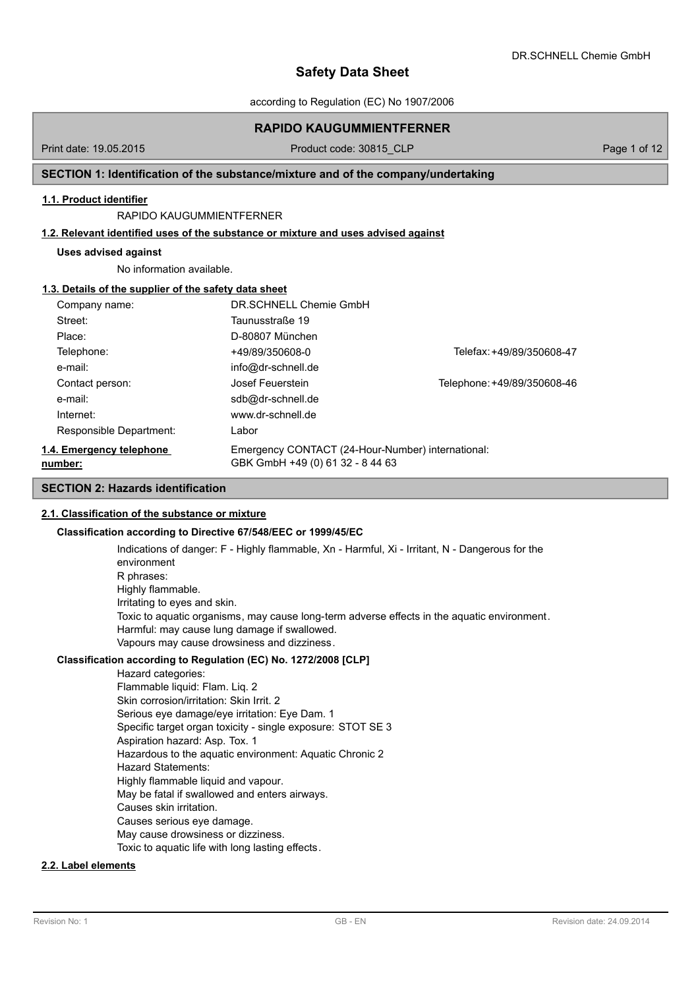according to Regulation (EC) No 1907/2006

## **RAPIDO KAUGUMMIENTFERNER**

Print date: 19.05.2015 **Product code: 30815\_CLP** Page 1 of 12

## **SECTION 1: Identification of the substance/mixture and of the company/undertaking**

#### **1.1. Product identifier**

#### RAPIDO KAUGUMMIENTFERNER

#### **1.2. Relevant identified uses of the substance or mixture and uses advised against**

#### **Uses advised against**

No information available.

#### **1.3. Details of the supplier of the safety data sheet**

| Company name:                       | DR SCHNELL Chemie GmbH                                                                |                             |
|-------------------------------------|---------------------------------------------------------------------------------------|-----------------------------|
| Street:                             | Taunusstraße 19                                                                       |                             |
| Place:                              | D-80807 München                                                                       |                             |
| Telephone:                          | +49/89/350608-0                                                                       | Telefax: +49/89/350608-47   |
| e-mail:                             | info@dr-schnell.de                                                                    |                             |
| Contact person:                     | Josef Feuerstein                                                                      | Telephone: +49/89/350608-46 |
| e-mail:                             | sdb@dr-schnell.de                                                                     |                             |
| Internet:                           | www.dr-schnell.de                                                                     |                             |
| Responsible Department:             | Labor                                                                                 |                             |
| 1.4. Emergency telephone<br>number: | Emergency CONTACT (24-Hour-Number) international:<br>GBK GmbH +49 (0) 61 32 - 8 44 63 |                             |

## **SECTION 2: Hazards identification**

#### **2.1. Classification of the substance or mixture**

#### **Classification according to Directive 67/548/EEC or 1999/45/EC**

Indications of danger: F - Highly flammable, Xn - Harmful, Xi - Irritant, N - Dangerous for the environment R phrases: Highly flammable. Irritating to eyes and skin. Toxic to aquatic organisms, may cause long-term adverse effects in the aquatic environment. Harmful: may cause lung damage if swallowed. Vapours may cause drowsiness and dizziness.

### **Classification according to Regulation (EC) No. 1272/2008 [CLP]**

Hazard categories: Flammable liquid: Flam. Liq. 2 Skin corrosion/irritation: Skin Irrit. 2 Serious eye damage/eye irritation: Eye Dam. 1 Specific target organ toxicity - single exposure: STOT SE 3 Aspiration hazard: Asp. Tox. 1 Hazardous to the aquatic environment: Aquatic Chronic 2 Hazard Statements: Highly flammable liquid and vapour. May be fatal if swallowed and enters airways. Causes skin irritation. Causes serious eye damage. May cause drowsiness or dizziness. Toxic to aquatic life with long lasting effects.

### **2.2. Label elements**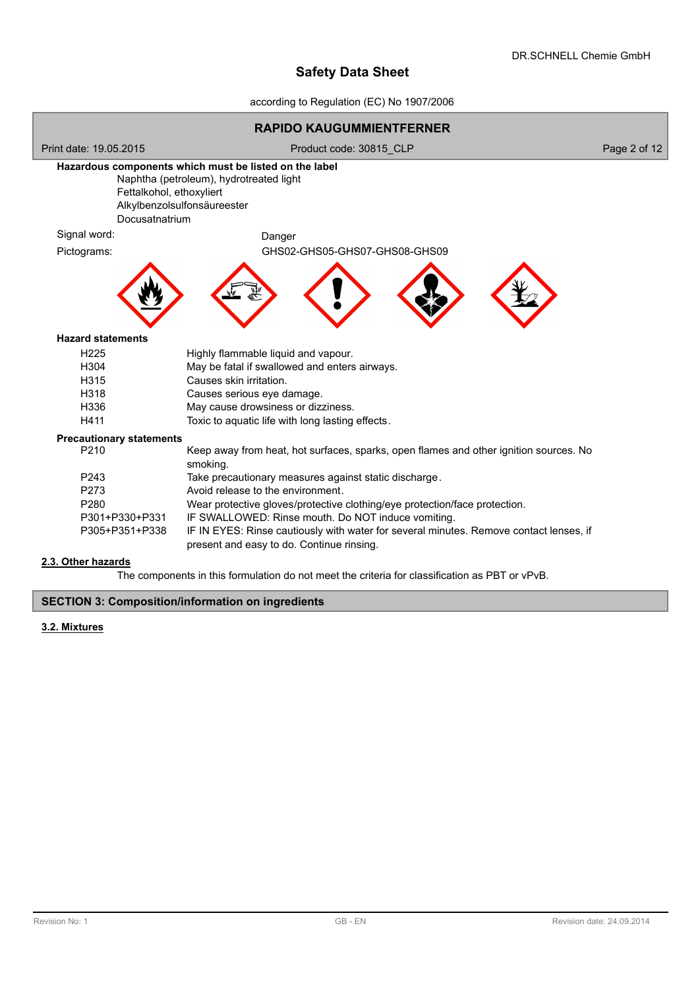according to Regulation (EC) No 1907/2006



The components in this formulation do not meet the criteria for classification as PBT or vPvB.

## **SECTION 3: Composition/information on ingredients**

### **3.2. Mixtures**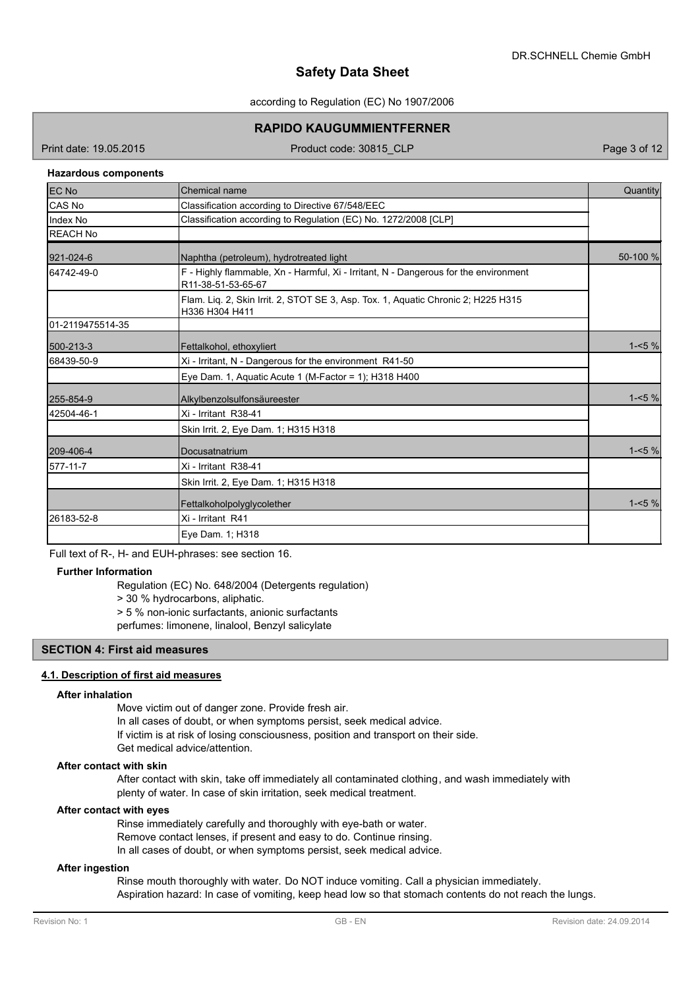#### according to Regulation (EC) No 1907/2006

## **RAPIDO KAUGUMMIENTFERNER**

Print date: 19.05.2015 **Product code: 30815 CLP** Page 3 of 12

### **Hazardous components**

| <b>IEC No</b>    | Chemical name                                                                                              | Quantity |
|------------------|------------------------------------------------------------------------------------------------------------|----------|
| CAS No           | Classification according to Directive 67/548/EEC                                                           |          |
| Index No         | Classification according to Regulation (EC) No. 1272/2008 [CLP]                                            |          |
| <b>REACH No</b>  |                                                                                                            |          |
| 921-024-6        | Naphtha (petroleum), hydrotreated light                                                                    | 50-100 % |
| 64742-49-0       | F - Highly flammable, Xn - Harmful, Xi - Irritant, N - Dangerous for the environment<br>R11-38-51-53-65-67 |          |
|                  | Flam. Lig. 2, Skin Irrit. 2, STOT SE 3, Asp. Tox. 1, Aguatic Chronic 2; H225 H315<br>H336 H304 H411        |          |
| 01-2119475514-35 |                                                                                                            |          |
| 500-213-3        | Fettalkohol, ethoxyliert                                                                                   | $1 - 5%$ |
| 68439-50-9       | Xi - Irritant, N - Dangerous for the environment R41-50                                                    |          |
|                  | Eye Dam. 1, Aquatic Acute 1 (M-Factor = 1); H318 H400                                                      |          |
| 255-854-9        | Alkylbenzolsulfonsäureester                                                                                | $1 - 5%$ |
| 42504-46-1       | Xi - Irritant R38-41                                                                                       |          |
|                  | Skin Irrit. 2, Eye Dam. 1; H315 H318                                                                       |          |
| 209-406-4        | Docusatnatrium                                                                                             | $1 - 5%$ |
| 577-11-7         | Xi - Irritant R38-41                                                                                       |          |
|                  | Skin Irrit. 2, Eye Dam. 1; H315 H318                                                                       |          |
|                  | Fettalkoholpolyglycolether                                                                                 | $1 - 5%$ |
| 26183-52-8       | Xi - Irritant R41                                                                                          |          |
|                  | Eye Dam. 1; H318                                                                                           |          |

Full text of R-, H- and EUH-phrases: see section 16.

## **Further Information**

Regulation (EC) No. 648/2004 (Detergents regulation)

> 30 % hydrocarbons, aliphatic.

> 5 % non-ionic surfactants, anionic surfactants

perfumes: limonene, linalool, Benzyl salicylate

## **SECTION 4: First aid measures**

#### **4.1. Description of first aid measures**

#### **After inhalation**

Move victim out of danger zone. Provide fresh air. In all cases of doubt, or when symptoms persist, seek medical advice.

If victim is at risk of losing consciousness, position and transport on their side.

Get medical advice/attention.

### **After contact with skin**

After contact with skin, take off immediately all contaminated clothing, and wash immediately with plenty of water. In case of skin irritation, seek medical treatment.

#### **After contact with eyes**

Rinse immediately carefully and thoroughly with eye-bath or water. Remove contact lenses, if present and easy to do. Continue rinsing. In all cases of doubt, or when symptoms persist, seek medical advice.

## **After ingestion**

Rinse mouth thoroughly with water. Do NOT induce vomiting. Call a physician immediately. Aspiration hazard: In case of vomiting, keep head low so that stomach contents do not reach the lungs.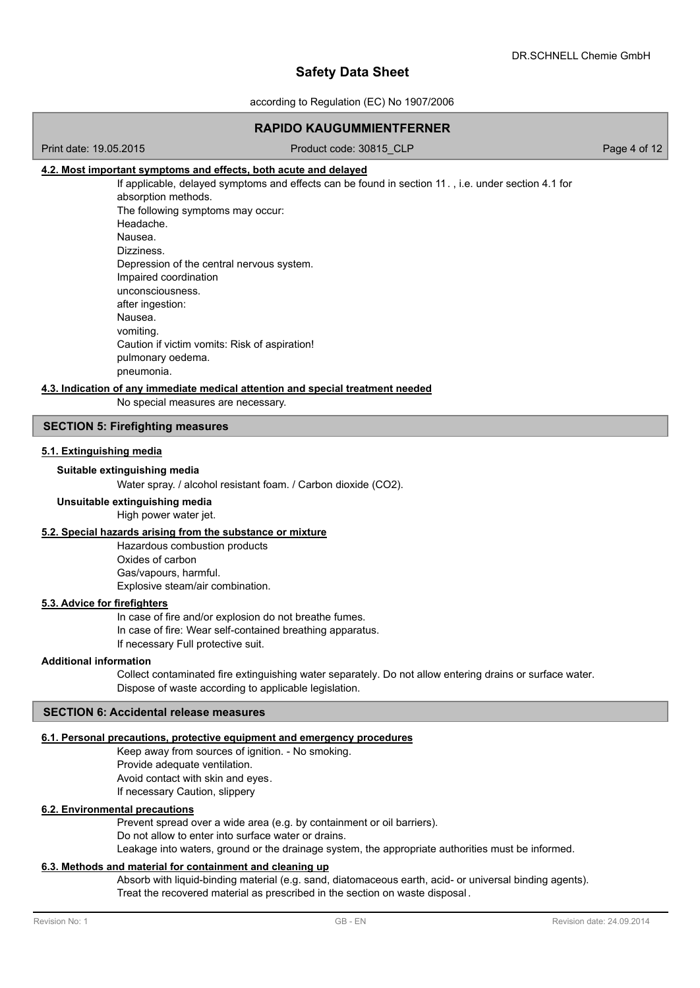according to Regulation (EC) No 1907/2006

## **RAPIDO KAUGUMMIENTFERNER**

#### Print date: 19.05.2015 Product code: 30815 CLP Page 4 of 12

## **4.2. Most important symptoms and effects, both acute and delayed**

If applicable, delayed symptoms and effects can be found in section 11. , i.e. under section 4.1 for absorption methods. The following symptoms may occur: Headache. Nausea. Dizziness. Depression of the central nervous system. Impaired coordination unconsciousness. after ingestion: Nausea. vomiting. Caution if victim vomits: Risk of aspiration! pulmonary oedema. pneumonia.

#### **4.3. Indication of any immediate medical attention and special treatment needed**

No special measures are necessary.

## **SECTION 5: Firefighting measures**

## **5.1. Extinguishing media**

## **Suitable extinguishing media**

Water spray. / alcohol resistant foam. / Carbon dioxide (CO2).

## **Unsuitable extinguishing media**

High power water jet.

## **5.2. Special hazards arising from the substance or mixture**

Hazardous combustion products Oxides of carbon Gas/vapours, harmful. Explosive steam/air combination.

## **5.3. Advice for firefighters**

In case of fire and/or explosion do not breathe fumes. In case of fire: Wear self-contained breathing apparatus. If necessary Full protective suit.

#### **Additional information**

Collect contaminated fire extinguishing water separately. Do not allow entering drains or surface water. Dispose of waste according to applicable legislation.

#### **SECTION 6: Accidental release measures**

#### **6.1. Personal precautions, protective equipment and emergency procedures**

Keep away from sources of ignition. - No smoking. Provide adequate ventilation. Avoid contact with skin and eyes. If necessary Caution, slippery

#### **6.2. Environmental precautions**

Prevent spread over a wide area (e.g. by containment or oil barriers). Do not allow to enter into surface water or drains.

Leakage into waters, ground or the drainage system, the appropriate authorities must be informed.

#### **6.3. Methods and material for containment and cleaning up**

Absorb with liquid-binding material (e.g. sand, diatomaceous earth, acid- or universal binding agents). Treat the recovered material as prescribed in the section on waste disposal .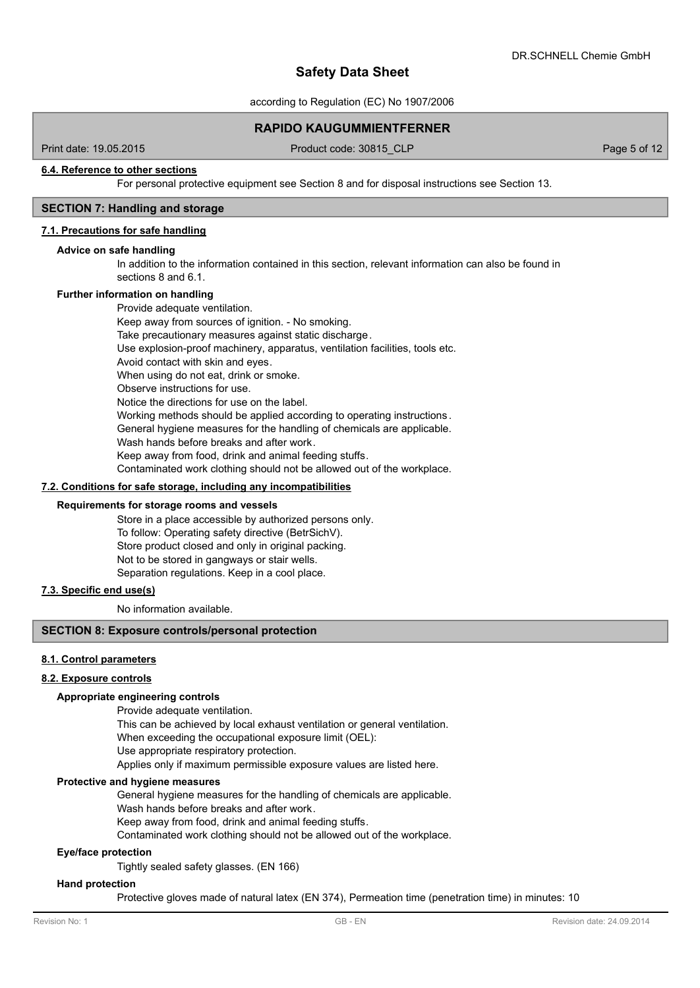according to Regulation (EC) No 1907/2006

### **RAPIDO KAUGUMMIENTFERNER**

Print date: 19.05.2015 Product code: 30815 CLP Page 5 of 12

#### **6.4. Reference to other sections**

For personal protective equipment see Section 8 and for disposal instructions see Section 13.

## **SECTION 7: Handling and storage**

#### **7.1. Precautions for safe handling**

#### **Advice on safe handling**

In addition to the information contained in this section, relevant information can also be found in sections 8 and 6.1.

#### **Further information on handling**

Provide adequate ventilation. Keep away from sources of ignition. - No smoking. Take precautionary measures against static discharge. Use explosion-proof machinery, apparatus, ventilation facilities, tools etc. Avoid contact with skin and eyes. When using do not eat, drink or smoke. Observe instructions for use. Notice the directions for use on the label. Working methods should be applied according to operating instructions. General hygiene measures for the handling of chemicals are applicable. Wash hands before breaks and after work. Keep away from food, drink and animal feeding stuffs. Contaminated work clothing should not be allowed out of the workplace.

#### **7.2. Conditions for safe storage, including any incompatibilities**

#### **Requirements for storage rooms and vessels**

Store in a place accessible by authorized persons only. To follow: Operating safety directive (BetrSichV). Store product closed and only in original packing. Not to be stored in gangways or stair wells. Separation regulations. Keep in a cool place.

## **7.3. Specific end use(s)**

No information available.

#### **SECTION 8: Exposure controls/personal protection**

### **8.1. Control parameters**

#### **8.2. Exposure controls**

## **Appropriate engineering controls**

Provide adequate ventilation.

- This can be achieved by local exhaust ventilation or general ventilation.
- When exceeding the occupational exposure limit (OEL):
- Use appropriate respiratory protection.

Applies only if maximum permissible exposure values are listed here.

#### **Protective and hygiene measures**

General hygiene measures for the handling of chemicals are applicable. Wash hands before breaks and after work.

Keep away from food, drink and animal feeding stuffs.

Contaminated work clothing should not be allowed out of the workplace.

#### **Eye/face protection**

Tightly sealed safety glasses. (EN 166)

#### **Hand protection**

Protective gloves made of natural latex (EN 374), Permeation time (penetration time) in minutes: 10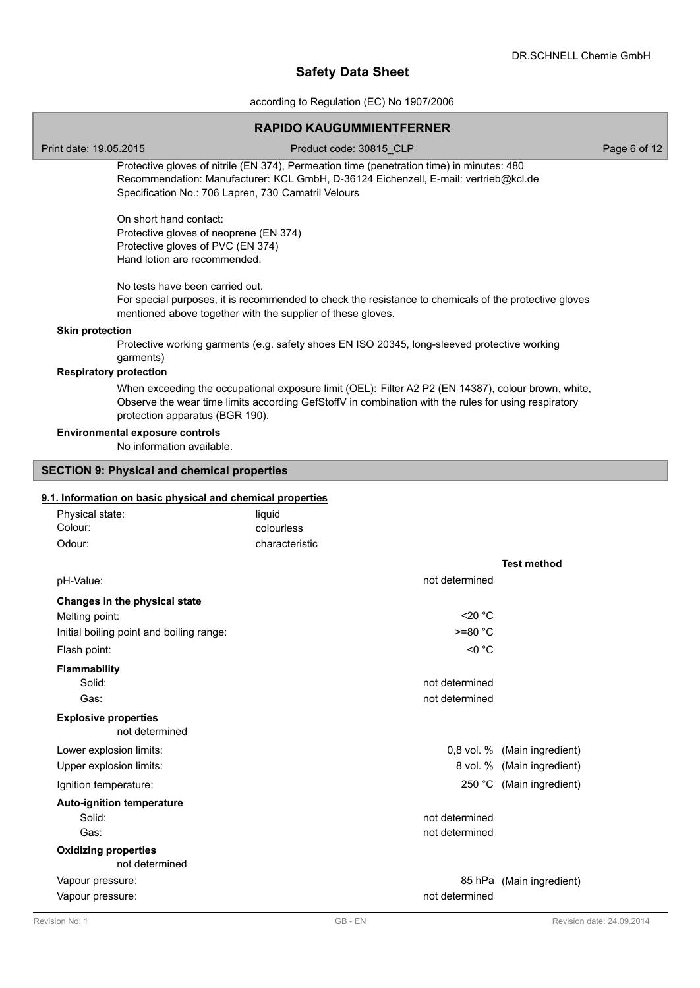according to Regulation (EC) No 1907/2006

|                                                                                                                                                                                                                                         | <b>RAPIDO KAUGUMMIENTFERNER</b>                                                                                                                                                                             |                              |  |  |  |  |
|-----------------------------------------------------------------------------------------------------------------------------------------------------------------------------------------------------------------------------------------|-------------------------------------------------------------------------------------------------------------------------------------------------------------------------------------------------------------|------------------------------|--|--|--|--|
| Print date: 19.05.2015                                                                                                                                                                                                                  | Product code: 30815_CLP                                                                                                                                                                                     | Page 6 of 12                 |  |  |  |  |
| Protective gloves of nitrile (EN 374), Permeation time (penetration time) in minutes: 480<br>Recommendation: Manufacturer: KCL GmbH, D-36124 Eichenzell, E-mail: vertrieb@kcl.de<br>Specification No.: 706 Lapren, 730 Camatril Velours |                                                                                                                                                                                                             |                              |  |  |  |  |
| On short hand contact:<br>Protective gloves of neoprene (EN 374)<br>Protective gloves of PVC (EN 374)<br>Hand lotion are recommended.                                                                                                   |                                                                                                                                                                                                             |                              |  |  |  |  |
|                                                                                                                                                                                                                                         | No tests have been carried out.<br>For special purposes, it is recommended to check the resistance to chemicals of the protective gloves<br>mentioned above together with the supplier of these gloves.     |                              |  |  |  |  |
| <b>Skin protection</b><br>garments)                                                                                                                                                                                                     | Protective working garments (e.g. safety shoes EN ISO 20345, long-sleeved protective working                                                                                                                |                              |  |  |  |  |
| <b>Respiratory protection</b>                                                                                                                                                                                                           |                                                                                                                                                                                                             |                              |  |  |  |  |
| protection apparatus (BGR 190).                                                                                                                                                                                                         | When exceeding the occupational exposure limit (OEL): Filter A2 P2 (EN 14387), colour brown, white,<br>Observe the wear time limits according GefStoffV in combination with the rules for using respiratory |                              |  |  |  |  |
| <b>Environmental exposure controls</b><br>No information available.                                                                                                                                                                     |                                                                                                                                                                                                             |                              |  |  |  |  |
| <b>SECTION 9: Physical and chemical properties</b>                                                                                                                                                                                      |                                                                                                                                                                                                             |                              |  |  |  |  |
| 9.1. Information on basic physical and chemical properties                                                                                                                                                                              |                                                                                                                                                                                                             |                              |  |  |  |  |
| Physical state:                                                                                                                                                                                                                         | liquid                                                                                                                                                                                                      |                              |  |  |  |  |
| Colour:                                                                                                                                                                                                                                 | colourless                                                                                                                                                                                                  |                              |  |  |  |  |
| Odour:                                                                                                                                                                                                                                  | characteristic                                                                                                                                                                                              |                              |  |  |  |  |
|                                                                                                                                                                                                                                         |                                                                                                                                                                                                             | <b>Test method</b>           |  |  |  |  |
| pH-Value:                                                                                                                                                                                                                               | not determined                                                                                                                                                                                              |                              |  |  |  |  |
| Changes in the physical state                                                                                                                                                                                                           |                                                                                                                                                                                                             |                              |  |  |  |  |
| Melting point:                                                                                                                                                                                                                          | $<$ 20 $^{\circ}$ C                                                                                                                                                                                         |                              |  |  |  |  |
| Initial boiling point and boiling range:                                                                                                                                                                                                | $>=80 °C$                                                                                                                                                                                                   |                              |  |  |  |  |
| Flash point:                                                                                                                                                                                                                            | $<$ 0 $^{\circ}$ C                                                                                                                                                                                          |                              |  |  |  |  |
| <b>Flammability</b>                                                                                                                                                                                                                     |                                                                                                                                                                                                             |                              |  |  |  |  |
| Solid:                                                                                                                                                                                                                                  | not determined                                                                                                                                                                                              |                              |  |  |  |  |
| Gas:                                                                                                                                                                                                                                    | not determined                                                                                                                                                                                              |                              |  |  |  |  |
| <b>Explosive properties</b><br>not determined                                                                                                                                                                                           |                                                                                                                                                                                                             |                              |  |  |  |  |
| Lower explosion limits:                                                                                                                                                                                                                 |                                                                                                                                                                                                             | 0,8 vol. % (Main ingredient) |  |  |  |  |
| Upper explosion limits:                                                                                                                                                                                                                 |                                                                                                                                                                                                             | 8 vol. % (Main ingredient)   |  |  |  |  |
| Ignition temperature:                                                                                                                                                                                                                   |                                                                                                                                                                                                             | 250 °C (Main ingredient)     |  |  |  |  |
| <b>Auto-ignition temperature</b>                                                                                                                                                                                                        |                                                                                                                                                                                                             |                              |  |  |  |  |
| Solid:<br>Gas:                                                                                                                                                                                                                          | not determined<br>not determined                                                                                                                                                                            |                              |  |  |  |  |
| <b>Oxidizing properties</b><br>not determined                                                                                                                                                                                           |                                                                                                                                                                                                             |                              |  |  |  |  |
| Vapour pressure:                                                                                                                                                                                                                        |                                                                                                                                                                                                             | 85 hPa (Main ingredient)     |  |  |  |  |
| Vapour pressure:                                                                                                                                                                                                                        | not determined                                                                                                                                                                                              |                              |  |  |  |  |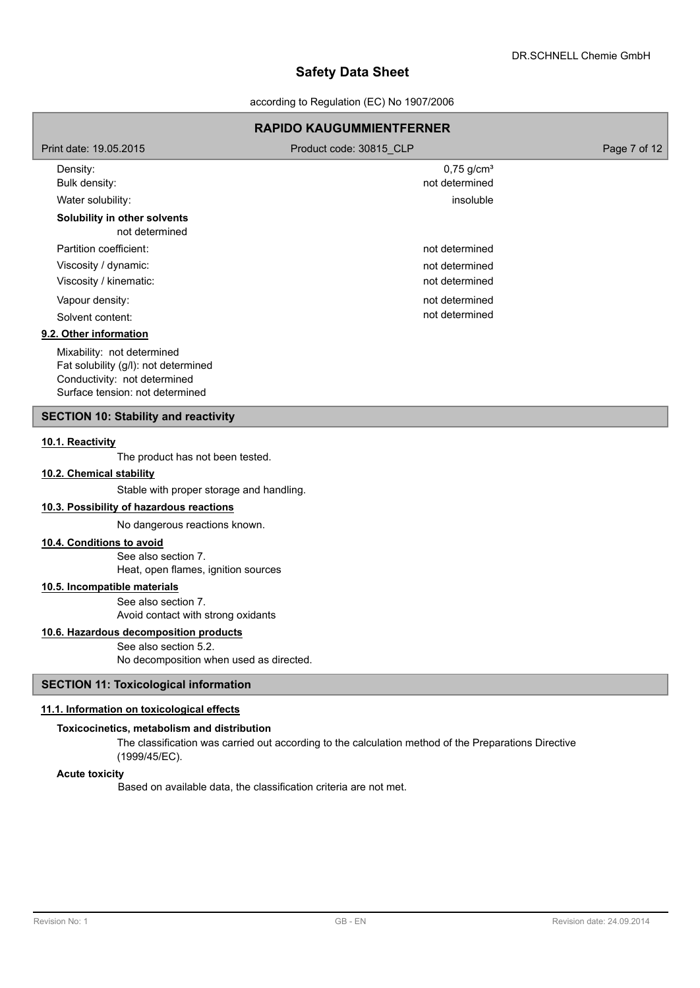according to Regulation (EC) No 1907/2006

## **RAPIDO KAUGUMMIENTFERNER** Print date: 19.05.2015 **Product code: 30815 CLP** Page 7 of 12 Density: 0,75 g/cm<sup>3</sup> Bulk density: not determined Water solubility: insoluble **Solubility in other solvents** not determined Partition coefficient: not determined Viscosity / dynamic: not determined Viscosity / kinematic: not determined Vapour density: not determined Solvent content: not determined **9.2. Other information** Mixability: not determined Fat solubility (g/l): not determined Conductivity: not determined Surface tension: not determined

## **SECTION 10: Stability and reactivity**

#### **10.1. Reactivity**

The product has not been tested.

#### **10.2. Chemical stability**

Stable with proper storage and handling.

### **10.3. Possibility of hazardous reactions**

No dangerous reactions known.

## **10.4. Conditions to avoid**

See also section 7. Heat, open flames, ignition sources

## **10.5. Incompatible materials**

See also section 7. Avoid contact with strong oxidants

**10.6. Hazardous decomposition products**

See also section 5.2. No decomposition when used as directed.

## **SECTION 11: Toxicological information**

### **11.1. Information on toxicological effects**

## **Toxicocinetics, metabolism and distribution**

The classification was carried out according to the calculation method of the Preparations Directive (1999/45/EC).

#### **Acute toxicity**

Based on available data, the classification criteria are not met.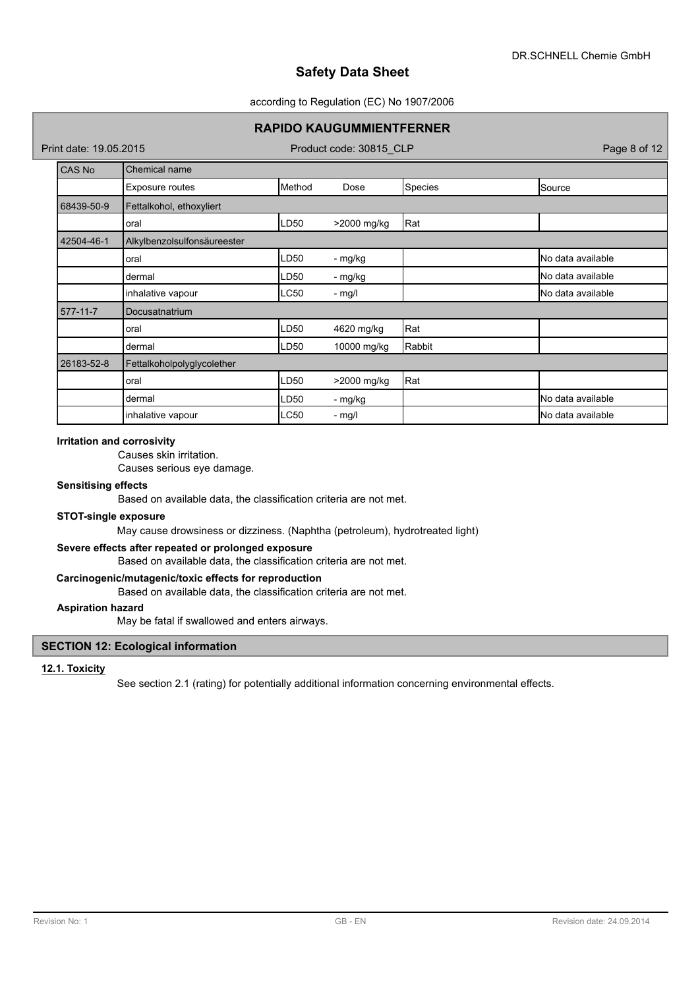### according to Regulation (EC) No 1907/2006

## **RAPIDO KAUGUMMIENTFERNER**

Print date: 19.05.2015 **Product code: 30815 CLP** Page 8 of 12

| <b>CAS No</b> | Chemical name               |             |             |         |                            |
|---------------|-----------------------------|-------------|-------------|---------|----------------------------|
|               | Exposure routes             | Method      | Dose        | Species | Source                     |
| 68439-50-9    | Fettalkohol, ethoxyliert    |             |             |         |                            |
|               | oral                        | LD50        | >2000 mg/kg | Rat     |                            |
| 42504-46-1    | Alkylbenzolsulfonsäureester |             |             |         |                            |
|               | oral                        | LD50        | - mg/kg     |         | No data available          |
|               | dermal                      | LD50        | - mg/kg     |         | No data available          |
|               | inhalative vapour           | <b>LC50</b> | - mg/l      |         | No data available          |
| 577-11-7      | Docusatnatrium              |             |             |         |                            |
|               | oral                        | LD50        | 4620 mg/kg  | Rat     |                            |
|               | dermal                      | LD50        | 10000 mg/kg | Rabbit  |                            |
| 26183-52-8    | Fettalkoholpolyglycolether  |             |             |         |                            |
|               | oral                        | LD50        | >2000 mg/kg | Rat     |                            |
|               | dermal                      | LD50        | - mg/kg     |         | No data available          |
|               | inhalative vapour           | <b>LC50</b> | $-$ mg/l    |         | <b>I</b> No data available |

#### **Irritation and corrosivity**

Causes skin irritation.

Causes serious eye damage.

#### **Sensitising effects**

Based on available data, the classification criteria are not met.

## **STOT-single exposure**

May cause drowsiness or dizziness. (Naphtha (petroleum), hydrotreated light)

## **Severe effects after repeated or prolonged exposure**

Based on available data, the classification criteria are not met.

### **Carcinogenic/mutagenic/toxic effects for reproduction**

Based on available data, the classification criteria are not met.

## **Aspiration hazard**

May be fatal if swallowed and enters airways.

## **SECTION 12: Ecological information**

#### **12.1. Toxicity**

See section 2.1 (rating) for potentially additional information concerning environmental effects.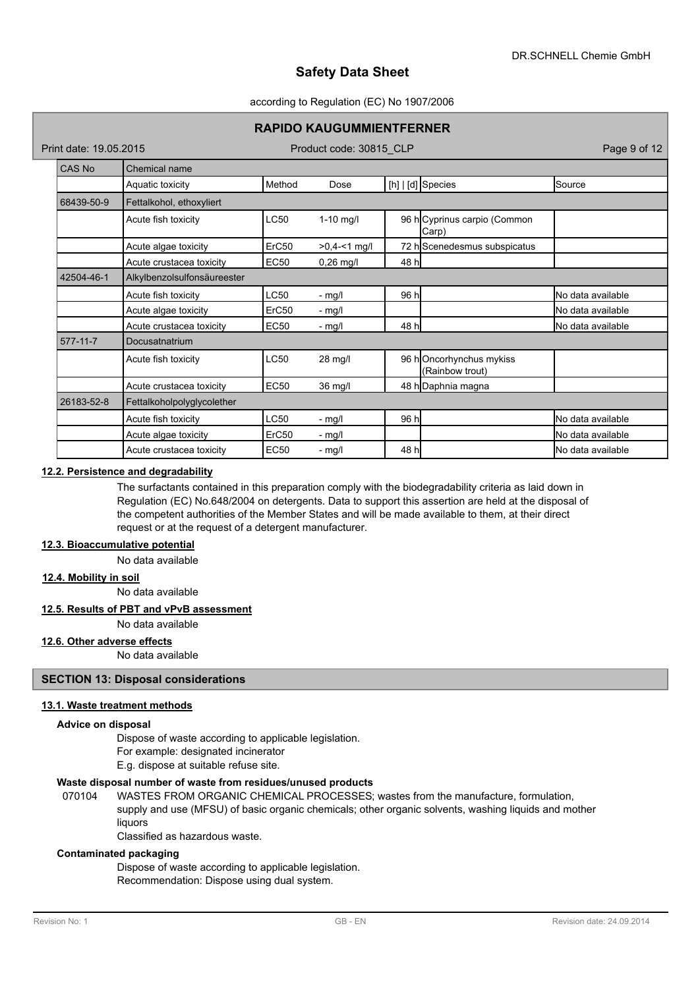#### according to Regulation (EC) No 1907/2006

### **RAPIDO KAUGUMMIENTFERNER**

Print date: 19.05.2015 Product code: 30815 CLP Page 9 of 12

| <b>CAS No</b> | Chemical name               |                   |               |       |                                            |                    |
|---------------|-----------------------------|-------------------|---------------|-------|--------------------------------------------|--------------------|
|               | Aquatic toxicity            | Method            | Dose          |       | [h]   [d] Species                          | Source             |
| 68439-50-9    | Fettalkohol, ethoxyliert    |                   |               |       |                                            |                    |
|               | Acute fish toxicity         | <b>LC50</b>       | $1-10$ mg/l   |       | 96 h Cyprinus carpio (Common<br>Carp)      |                    |
|               | Acute algae toxicity        | ErC50             | $>0,4-1$ mg/l |       | 72 hScenedesmus subspicatus                |                    |
|               | Acute crustacea toxicity    | <b>EC50</b>       | $0,26$ mg/l   | 48 h  |                                            |                    |
| 42504-46-1    | Alkylbenzolsulfonsäureester |                   |               |       |                                            |                    |
|               | Acute fish toxicity         | <b>LC50</b>       | - mg/l        | 96 h  |                                            | No data available  |
|               | Acute algae toxicity        | ErC50             | - mg/l        |       |                                            | No data available  |
|               | Acute crustacea toxicity    | <b>EC50</b>       | - mg/l        | 48 hl |                                            | No data available  |
| 577-11-7      | Docusatnatrium              |                   |               |       |                                            |                    |
|               | Acute fish toxicity         | <b>LC50</b>       | 28 mg/l       |       | 96 hOncorhynchus mykiss<br>(Rainbow trout) |                    |
|               | Acute crustacea toxicity    | <b>EC50</b>       | 36 mg/l       |       | 48 h Daphnia magna                         |                    |
| 26183-52-8    | Fettalkoholpolyglycolether  |                   |               |       |                                            |                    |
|               | Acute fish toxicity         | <b>LC50</b>       | - mg/l        | 96 h  |                                            | No data available  |
|               | Acute algae toxicity        | ErC <sub>50</sub> | - mg/l        |       |                                            | No data available  |
|               | Acute crustacea toxicity    | <b>EC50</b>       | - mg/l        | 48 h  |                                            | INo data available |

## **12.2. Persistence and degradability**

The surfactants contained in this preparation comply with the biodegradability criteria as laid down in Regulation (EC) No.648/2004 on detergents. Data to support this assertion are held at the disposal of the competent authorities of the Member States and will be made available to them, at their direct request or at the request of a detergent manufacturer.

## **12.3. Bioaccumulative potential**

No data available

## **12.4. Mobility in soil**

No data available

#### **12.5. Results of PBT and vPvB assessment**

No data available

### **12.6. Other adverse effects**

No data available

## **SECTION 13: Disposal considerations**

## **13.1. Waste treatment methods**

#### **Advice on disposal**

Dispose of waste according to applicable legislation. For example: designated incinerator

E.g. dispose at suitable refuse site.

#### **Waste disposal number of waste from residues/unused products**

070104 WASTES FROM ORGANIC CHEMICAL PROCESSES; wastes from the manufacture, formulation, supply and use (MFSU) of basic organic chemicals; other organic solvents, washing liquids and mother liquors

Classified as hazardous waste.

#### **Contaminated packaging**

Dispose of waste according to applicable legislation. Recommendation: Dispose using dual system.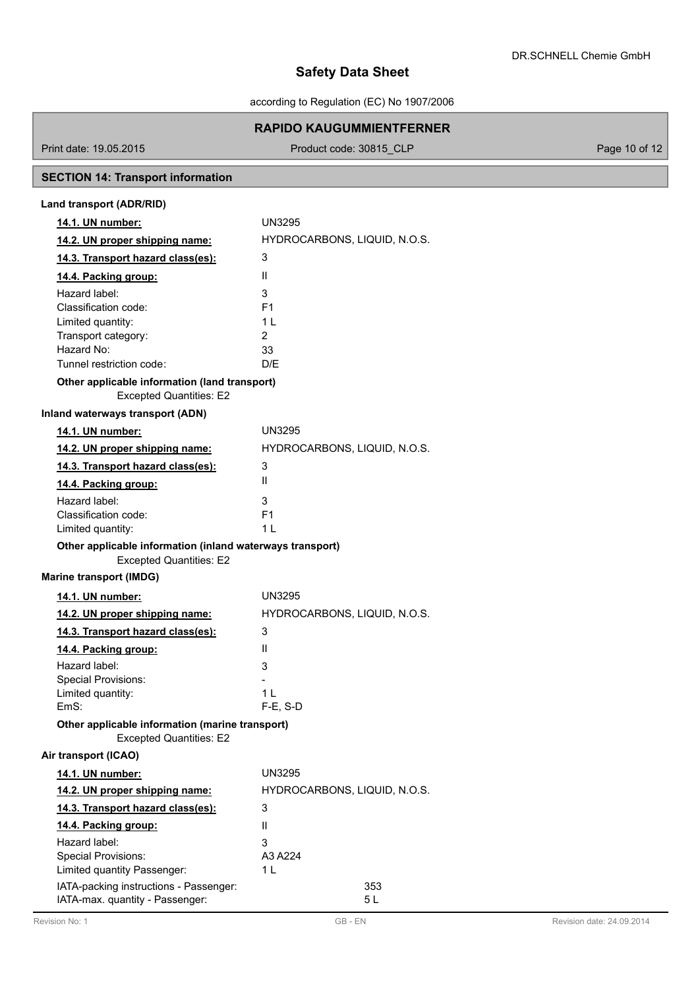according to Regulation (EC) No 1907/2006

## **RAPIDO KAUGUMMIENTFERNER**

Print date: 19.05.2015 Product code: 30815\_CLP Product code: 30816\_CLP Page 10 of 12

# **SECTION 14: Transport information**

| Land transport (ADR/RID)                                                                    |                              |
|---------------------------------------------------------------------------------------------|------------------------------|
| 14.1. UN number:                                                                            | UN3295                       |
| 14.2. UN proper shipping name:                                                              | HYDROCARBONS, LIQUID, N.O.S. |
| 14.3. Transport hazard class(es):                                                           | 3                            |
| 14.4. Packing group:                                                                        | $\mathbf{H}$                 |
| Hazard label:                                                                               | 3                            |
| Classification code:                                                                        | F <sub>1</sub>               |
| Limited quantity:                                                                           | 11                           |
| Transport category:                                                                         | 2                            |
| Hazard No:                                                                                  | 33                           |
| Tunnel restriction code:                                                                    | D/F                          |
| Other applicable information (land transport)<br><b>Excepted Quantities: E2</b>             |                              |
| Inland waterways transport (ADN)                                                            |                              |
| 14.1. UN number:                                                                            | <b>UN3295</b>                |
| 14.2. UN proper shipping name:                                                              | HYDROCARBONS, LIQUID, N.O.S. |
| 14.3. Transport hazard class(es):                                                           | 3                            |
| 14.4. Packing group:                                                                        | $\mathbf{H}$                 |
| Hazard label:                                                                               | 3                            |
| Classification code:                                                                        | F <sub>1</sub>               |
| Limited quantity:                                                                           | 1 L                          |
| Other applicable information (inland waterways transport)<br><b>Excepted Quantities: E2</b> |                              |
| <b>Marine transport (IMDG)</b>                                                              |                              |
| 14.1. UN number:                                                                            | UN3295                       |
| 14.2. UN proper shipping name:                                                              | HYDROCARBONS, LIQUID, N.O.S. |
| 14.3. Transport hazard class(es):                                                           | 3                            |
| 14.4. Packing group:                                                                        | $\mathbf{H}$                 |
| Hazard label:                                                                               | 3                            |
| <b>Special Provisions:</b>                                                                  |                              |
| Limited quantity:                                                                           | 1 I                          |
| EmS:                                                                                        | $F-E$ , S-D                  |
| Other applicable information (marine transport)<br><b>Excepted Quantities: E2</b>           |                              |
| Air transport (ICAO)                                                                        |                              |
| 14.1. UN number:                                                                            | <b>UN3295</b>                |
| 14.2. UN proper shipping name:                                                              | HYDROCARBONS, LIQUID, N.O.S. |
| 14.3. Transport hazard class(es):                                                           | 3                            |
| 14.4. Packing group:                                                                        | $\mathbf{H}$                 |
| Hazard label:                                                                               | 3                            |
| Special Provisions:                                                                         | A3 A224                      |
| Limited quantity Passenger:                                                                 | 1 L                          |
| IATA-packing instructions - Passenger:<br>IATA-max. quantity - Passenger:                   | 353<br>5 L                   |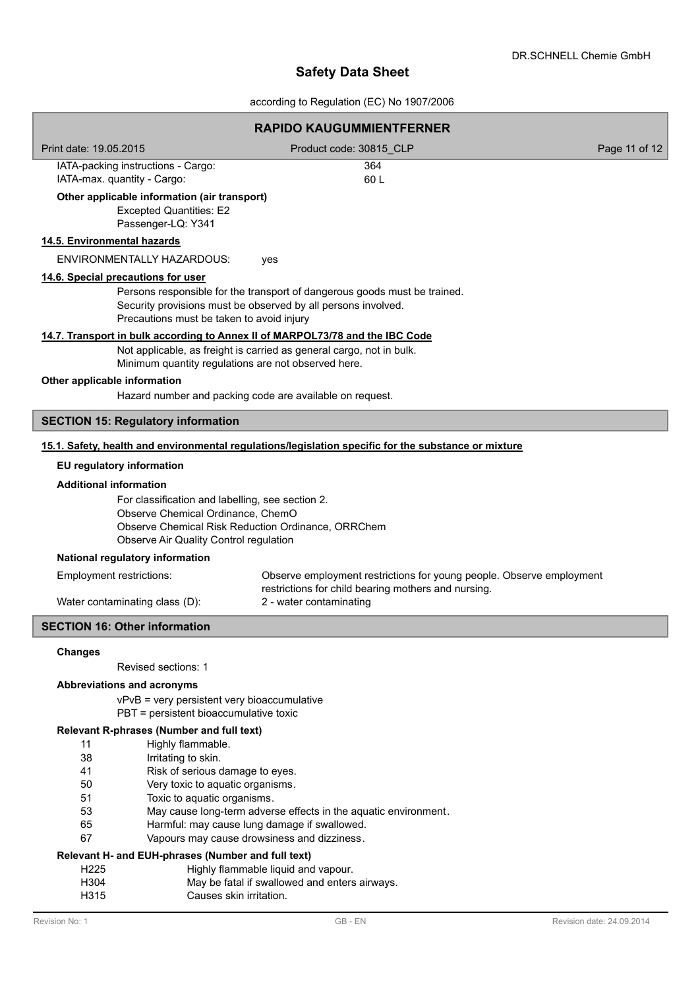according to Regulation (EC) No 1907/2006

|                               |                                                                                                                                                                                       | <b>RAPIDO KAUGUMMIENTFERNER</b>                                                                                                                       |                           |
|-------------------------------|---------------------------------------------------------------------------------------------------------------------------------------------------------------------------------------|-------------------------------------------------------------------------------------------------------------------------------------------------------|---------------------------|
| Print date: 19.05.2015        |                                                                                                                                                                                       | Product code: 30815_CLP                                                                                                                               | Page 11 of 12             |
|                               | IATA-packing instructions - Cargo:<br>IATA-max. quantity - Cargo:                                                                                                                     | 364<br>60L                                                                                                                                            |                           |
|                               | Other applicable information (air transport)<br><b>Excepted Quantities: E2</b><br>Passenger-LQ: Y341                                                                                  |                                                                                                                                                       |                           |
| 14.5. Environmental hazards   |                                                                                                                                                                                       |                                                                                                                                                       |                           |
|                               | <b>ENVIRONMENTALLY HAZARDOUS:</b>                                                                                                                                                     | yes                                                                                                                                                   |                           |
|                               | 14.6. Special precautions for user<br>Precautions must be taken to avoid injury                                                                                                       | Persons responsible for the transport of dangerous goods must be trained.<br>Security provisions must be observed by all persons involved.            |                           |
|                               | Minimum quantity regulations are not observed here.                                                                                                                                   | 14.7. Transport in bulk according to Annex II of MARPOL73/78 and the IBC Code<br>Not applicable, as freight is carried as general cargo, not in bulk. |                           |
| Other applicable information  |                                                                                                                                                                                       |                                                                                                                                                       |                           |
|                               | Hazard number and packing code are available on request.                                                                                                                              |                                                                                                                                                       |                           |
|                               | <b>SECTION 15: Regulatory information</b>                                                                                                                                             |                                                                                                                                                       |                           |
|                               |                                                                                                                                                                                       | 15.1. Safety, health and environmental regulations/legislation specific for the substance or mixture                                                  |                           |
|                               | EU regulatory information                                                                                                                                                             |                                                                                                                                                       |                           |
| <b>Additional information</b> |                                                                                                                                                                                       |                                                                                                                                                       |                           |
|                               | For classification and labelling, see section 2.<br>Observe Chemical Ordinance, ChemO<br>Observe Chemical Risk Reduction Ordinance, ORRChem<br>Observe Air Quality Control regulation |                                                                                                                                                       |                           |
|                               | National regulatory information                                                                                                                                                       |                                                                                                                                                       |                           |
| Employment restrictions:      |                                                                                                                                                                                       | Observe employment restrictions for young people. Observe employment                                                                                  |                           |
|                               | Water contaminating class (D):                                                                                                                                                        | restrictions for child bearing mothers and nursing.<br>2 - water contaminating                                                                        |                           |
|                               | <b>SECTION 16: Other information</b>                                                                                                                                                  |                                                                                                                                                       |                           |
|                               |                                                                                                                                                                                       |                                                                                                                                                       |                           |
| <b>Changes</b>                | Revised sections: 1                                                                                                                                                                   |                                                                                                                                                       |                           |
|                               | Abbreviations and acronyms                                                                                                                                                            |                                                                                                                                                       |                           |
|                               | vPvB = very persistent very bioaccumulative<br>PBT = persistent bioaccumulative toxic                                                                                                 |                                                                                                                                                       |                           |
|                               | Relevant R-phrases (Number and full text)                                                                                                                                             |                                                                                                                                                       |                           |
| 11                            | Highly flammable.                                                                                                                                                                     |                                                                                                                                                       |                           |
| 38                            | Irritating to skin.                                                                                                                                                                   |                                                                                                                                                       |                           |
| 41<br>50                      | Risk of serious damage to eyes.<br>Very toxic to aquatic organisms.                                                                                                                   |                                                                                                                                                       |                           |
| 51                            | Toxic to aquatic organisms.                                                                                                                                                           |                                                                                                                                                       |                           |
| 53                            |                                                                                                                                                                                       | May cause long-term adverse effects in the aquatic environment.                                                                                       |                           |
| 65                            |                                                                                                                                                                                       | Harmful: may cause lung damage if swallowed.                                                                                                          |                           |
| 67                            |                                                                                                                                                                                       | Vapours may cause drowsiness and dizziness.                                                                                                           |                           |
|                               | Relevant H- and EUH-phrases (Number and full text)                                                                                                                                    |                                                                                                                                                       |                           |
| H <sub>225</sub>              |                                                                                                                                                                                       | Highly flammable liquid and vapour.                                                                                                                   |                           |
| H304<br>H315                  | Causes skin irritation.                                                                                                                                                               | May be fatal if swallowed and enters airways.                                                                                                         |                           |
| Revision No: 1                |                                                                                                                                                                                       | GB-EN                                                                                                                                                 | Revision date: 24.09.2014 |